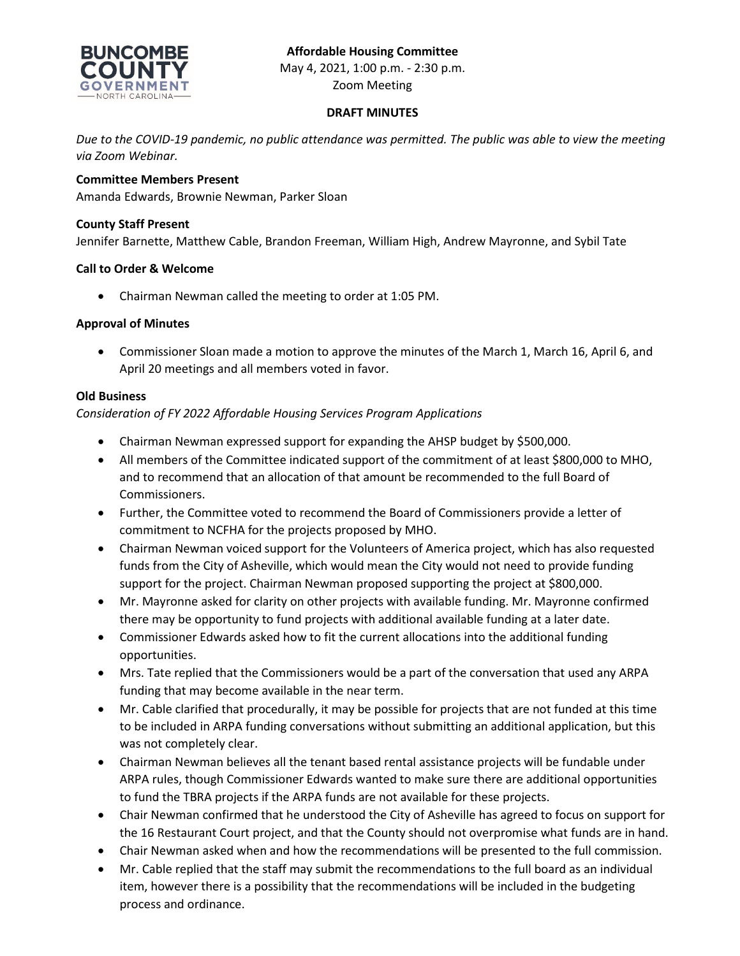# **Affordable Housing Committee**



May 4, 2021, 1:00 p.m. - 2:30 p.m. Zoom Meeting

# **DRAFT MINUTES**

*Due to the COVID-19 pandemic, no public attendance was permitted. The public was able to view the meeting via Zoom Webinar.*

# **Committee Members Present**

Amanda Edwards, Brownie Newman, Parker Sloan

## **County Staff Present**

Jennifer Barnette, Matthew Cable, Brandon Freeman, William High, Andrew Mayronne, and Sybil Tate

## **Call to Order & Welcome**

• Chairman Newman called the meeting to order at 1:05 PM.

## **Approval of Minutes**

• Commissioner Sloan made a motion to approve the minutes of the March 1, March 16, April 6, and April 20 meetings and all members voted in favor.

### **Old Business**

## *Consideration of FY 2022 Affordable Housing Services Program Applications*

- Chairman Newman expressed support for expanding the AHSP budget by \$500,000.
- All members of the Committee indicated support of the commitment of at least \$800,000 to MHO, and to recommend that an allocation of that amount be recommended to the full Board of Commissioners.
- Further, the Committee voted to recommend the Board of Commissioners provide a letter of commitment to NCFHA for the projects proposed by MHO.
- Chairman Newman voiced support for the Volunteers of America project, which has also requested funds from the City of Asheville, which would mean the City would not need to provide funding support for the project. Chairman Newman proposed supporting the project at \$800,000.
- Mr. Mayronne asked for clarity on other projects with available funding. Mr. Mayronne confirmed there may be opportunity to fund projects with additional available funding at a later date.
- Commissioner Edwards asked how to fit the current allocations into the additional funding opportunities.
- Mrs. Tate replied that the Commissioners would be a part of the conversation that used any ARPA funding that may become available in the near term.
- Mr. Cable clarified that procedurally, it may be possible for projects that are not funded at this time to be included in ARPA funding conversations without submitting an additional application, but this was not completely clear.
- Chairman Newman believes all the tenant based rental assistance projects will be fundable under ARPA rules, though Commissioner Edwards wanted to make sure there are additional opportunities to fund the TBRA projects if the ARPA funds are not available for these projects.
- Chair Newman confirmed that he understood the City of Asheville has agreed to focus on support for the 16 Restaurant Court project, and that the County should not overpromise what funds are in hand.
- Chair Newman asked when and how the recommendations will be presented to the full commission.
- Mr. Cable replied that the staff may submit the recommendations to the full board as an individual item, however there is a possibility that the recommendations will be included in the budgeting process and ordinance.